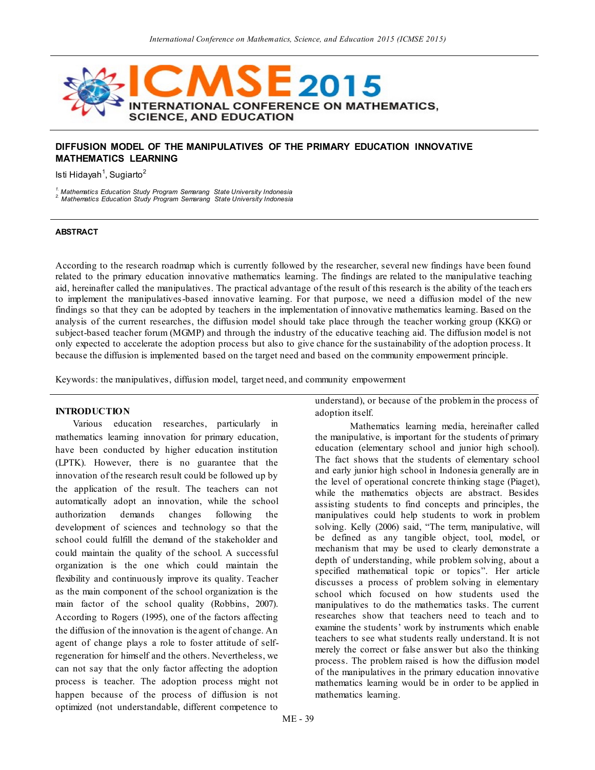

# **DIFFUSION MODEL OF THE MANIPULATIVES OF THE PRIMARY EDUCATION INNOVATIVE MATHEMATICS LEARNING**

Isti Hidayah<sup>1</sup>, Sugiarto<sup>2</sup>

*1. Mathematics Education Study Program Semarang State University Indonesia 2. Mathematics Education Study Program Semarang State University Indonesia*

#### **ABSTRACT**

According to the research roadmap which is currently followed by the researcher, several new findings have been found related to the primary education innovative mathematics learning. The findings are related to the manipulative teaching aid, hereinafter called the manipulatives. The practical advantage of the result of this research is the ability of the teach ers to implement the manipulatives-based innovative learning. For that purpose, we need a diffusion model of the new findings so that they can be adopted by teachers in the implementation of innovative mathematics learning. Based on the analysis of the current researches, the diffusion model should take place through the teacher working group (KKG) or subject-based teacher forum (MGMP) and through the industry of the educative teaching aid. The diffusion model is not only expected to accelerate the adoption process but also to give chance for the sustainability of the adoption process. It because the diffusion is implemented based on the target need and based on the community empowerment principle.

Keywords: the manipulatives, diffusion model, target need, and community empowerment

## **INTRODUCTION**

Various education researches, particularly in mathematics learning innovation for primary education, have been conducted by higher education institution (LPTK). However, there is no guarantee that the innovation of the research result could be followed up by the application of the result. The teachers can not automatically adopt an innovation, while the school authorization demands changes following the development of sciences and technology so that the school could fulfill the demand of the stakeholder and could maintain the quality of the school. A successful organization is the one which could maintain the flexibility and continuously improve its quality. Teacher as the main component of the school organization is the main factor of the school quality (Robbins, 2007). According to Rogers (1995), one of the factors affecting the diffusion of the innovation is the agent of change. An agent of change plays a role to foster attitude of selfregeneration for himself and the others. Nevertheless, we can not say that the only factor affecting the adoption process is teacher. The adoption process might not happen because of the process of diffusion is not optimized (not understandable, different competence to

understand), or because of the problem in the process of adoption itself.

Mathematics learning media, hereinafter called the manipulative, is important for the students of primary education (elementary school and junior high school). The fact shows that the students of elementary school and early junior high school in Indonesia generally are in the level of operational concrete thinking stage (Piaget), while the mathematics objects are abstract. Besides assisting students to find concepts and principles, the manipulatives could help students to work in problem solving. Kelly (2006) said, "The term, manipulative, will be defined as any tangible object, tool, model, or mechanism that may be used to clearly demonstrate a depth of understanding, while problem solving, about a specified mathematical topic or topics". Her article discusses a process of problem solving in elementary school which focused on how students used the manipulatives to do the mathematics tasks. The current researches show that teachers need to teach and to examine the students' work by instruments which enable teachers to see what students really understand. It is not merely the correct or false answer but also the thinking process. The problem raised is how the diffusion model of the manipulatives in the primary education innovative mathematics learning would be in order to be applied in mathematics learning.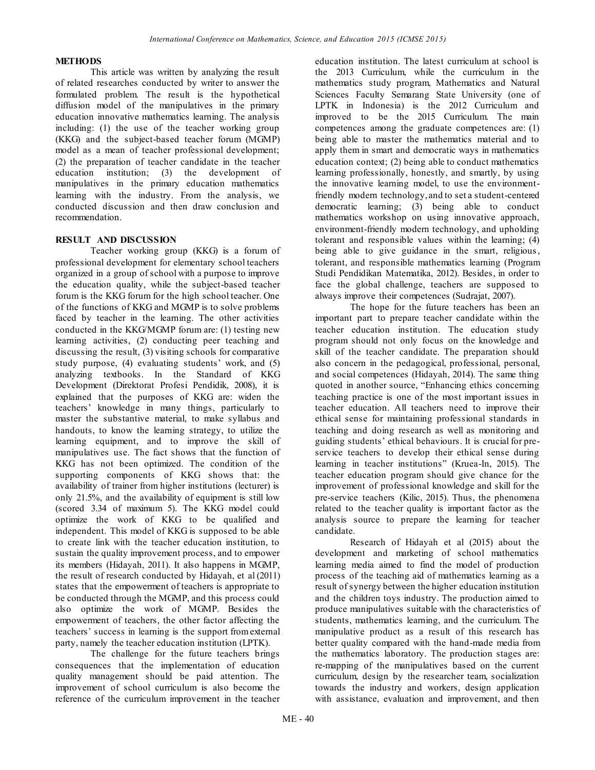## **METHODS**

This article was written by analyzing the result of related researches conducted by writer to answer the formulated problem. The result is the hypothetical diffusion model of the manipulatives in the primary education innovative mathematics learning. The analysis including: (1) the use of the teacher working group (KKG) and the subject-based teacher forum (MGMP) model as a mean of teacher professional development; (2) the preparation of teacher candidate in the teacher education institution; (3) the development of manipulatives in the primary education mathematics learning with the industry. From the analysis, we conducted discussion and then draw conclusion and recommendation.

## **RESULT AND DISCUSSION**

Teacher working group (KKG) is a forum of professional development for elementary school teachers organized in a group of school with a purpose to improve the education quality, while the subject-based teacher forum is the KKG forum for the high school teacher. One of the functions of KKG and MGMP is to solve problems faced by teacher in the learning. The other activities conducted in the KKG/MGMP forum are: (1) testing new learning activities, (2) conducting peer teaching and discussing the result, (3) visiting schools for comparative study purpose, (4) evaluating students' work, and (5) analyzing textbooks. In the Standard of KKG Development (Direktorat Profesi Pendidik, 2008), it is explained that the purposes of KKG are: widen the teachers' knowledge in many things, particularly to master the substantive material, to make syllabus and handouts, to know the learning strategy, to utilize the learning equipment, and to improve the skill of manipulatives use. The fact shows that the function of KKG has not been optimized. The condition of the supporting components of KKG shows that: the availability of trainer from higher institutions (lecturer) is only 21.5%, and the availability of equipment is still low (scored 3.34 of maximum 5). The KKG model could optimize the work of KKG to be qualified and independent. This model of KKG is supposed to be able to create link with the teacher education institution, to sustain the quality improvement process, and to empower its members (Hidayah, 2011). It also happens in MGMP, the result of research conducted by Hidayah, et al (2011) states that the empowerment of teachers is appropriate to be conducted through the MGMP, and this process could also optimize the work of MGMP. Besides the empowerment of teachers, the other factor affecting the teachers' success in learning is the support from external party, namely the teacher education institution (LPTK).

The challenge for the future teachers brings consequences that the implementation of education quality management should be paid attention. The improvement of school curriculum is also become the reference of the curriculum improvement in the teacher

education institution. The latest curriculum at school is the 2013 Curriculum, while the curriculum in the mathematics study program, Mathematics and Natural Sciences Faculty Semarang State University (one of LPTK in Indonesia) is the 2012 Curriculum and improved to be the 2015 Curriculum. The main competences among the graduate competences are: (1) being able to master the mathematics material and to apply them in smart and democratic ways in mathematics education context; (2) being able to conduct mathematics learning professionally, honestly, and smartly, by using the innovative learning model, to use the environmentfriendly modern technology, and to set a student-centered democratic learning; (3) being able to conduct mathematics workshop on using innovative approach, environment-friendly modern technology, and upholding tolerant and responsible values within the learning; (4) being able to give guidance in the smart, religious, tolerant, and responsible mathematics learning (Program Studi Pendidikan Matematika, 2012). Besides, in order to face the global challenge, teachers are supposed to always improve their competences (Sudrajat, 2007).

The hope for the future teachers has been an important part to prepare teacher candidate within the teacher education institution. The education study program should not only focus on the knowledge and skill of the teacher candidate. The preparation should also concern in the pedagogical, professional, personal, and social competences (Hidayah, 2014). The same thing quoted in another source, "Enhancing ethics concerning teaching practice is one of the most important issues in teacher education. All teachers need to improve their ethical sense for maintaining professional standards in teaching and doing research as well as monitoring and guiding students' ethical behaviours. It is crucial for preservice teachers to develop their ethical sense during learning in teacher institutions" (Kruea-In, 2015). The teacher education program should give chance for the improvement of professional knowledge and skill for the pre-service teachers (Kilic, 2015). Thus, the phenomena related to the teacher quality is important factor as the analysis source to prepare the learning for teacher candidate.

Research of Hidayah et al (2015) about the development and marketing of school mathematics learning media aimed to find the model of production process of the teaching aid of mathematics learning as a result of synergy between the higher education institution and the children toys industry. The production aimed to produce manipulatives suitable with the characteristics of students, mathematics learning, and the curriculum. The manipulative product as a result of this research has better quality compared with the hand-made media from the mathematics laboratory. The production stages are: re-mapping of the manipulatives based on the current curriculum, design by the researcher team, socialization towards the industry and workers, design application with assistance, evaluation and improvement, and then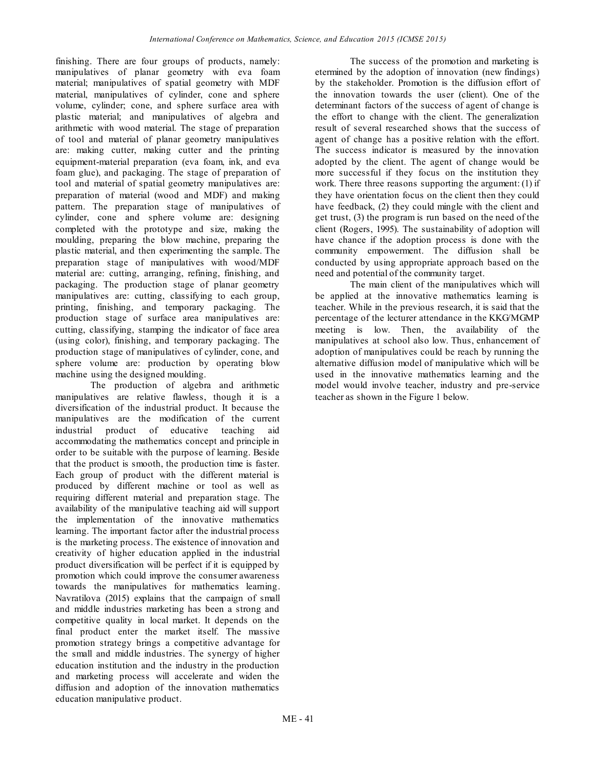finishing. There are four groups of products, namely: manipulatives of planar geometry with eva foam material; manipulatives of spatial geometry with MDF material, manipulatives of cylinder, cone and sphere volume, cylinder; cone, and sphere surface area with plastic material; and manipulatives of algebra and arithmetic with wood material. The stage of preparation of tool and material of planar geometry manipulatives are: making cutter, making cutter and the printing equipment-material preparation (eva foam, ink, and eva foam glue), and packaging. The stage of preparation of tool and material of spatial geometry manipulatives are: preparation of material (wood and MDF) and making pattern. The preparation stage of manipulatives of cylinder, cone and sphere volume are: designing completed with the prototype and size, making the moulding, preparing the blow machine, preparing the plastic material, and then experimenting the sample. The preparation stage of manipulatives with wood/MDF material are: cutting, arranging, refining, finishing, and packaging. The production stage of planar geometry manipulatives are: cutting, classifying to each group, printing, finishing, and temporary packaging. The production stage of surface area manipulatives are: cutting, classifying, stamping the indicator of face area (using color), finishing, and temporary packaging. The production stage of manipulatives of cylinder, cone, and sphere volume are: production by operating blow machine using the designed moulding.

The production of algebra and arithmetic manipulatives are relative flawless, though it is a diversification of the industrial product. It because the manipulatives are the modification of the current industrial product of educative teaching aid accommodating the mathematics concept and principle in order to be suitable with the purpose of learning. Beside that the product is smooth, the production time is faster. Each group of product with the different material is produced by different machine or tool as well as requiring different material and preparation stage. The availability of the manipulative teaching aid will support the implementation of the innovative mathematics learning. The important factor after the industrial process is the marketing process. The existence of innovation and creativity of higher education applied in the industrial product diversification will be perfect if it is equipped by promotion which could improve the consumer awareness towards the manipulatives for mathematics learning. Navratilova (2015) explains that the campaign of small and middle industries marketing has been a strong and competitive quality in local market. It depends on the final product enter the market itself. The massive promotion strategy brings a competitive advantage for the small and middle industries. The synergy of higher education institution and the industry in the production and marketing process will accelerate and widen the diffusion and adoption of the innovation mathematics education manipulative product.

The success of the promotion and marketing is etermined by the adoption of innovation (new findings) by the stakeholder. Promotion is the diffusion effort of the innovation towards the user (client). One of the determinant factors of the success of agent of change is the effort to change with the client. The generalization result of several researched shows that the success of agent of change has a positive relation with the effort. The success indicator is measured by the innovation adopted by the client. The agent of change would be more successful if they focus on the institution they work. There three reasons supporting the argument: (1) if they have orientation focus on the client then they could have feedback, (2) they could mingle with the client and get trust, (3) the program is run based on the need of the client (Rogers, 1995). The sustainability of adoption will have chance if the adoption process is done with the community empowerment. The diffusion shall be conducted by using appropriate approach based on the need and potential of the community target.

The main client of the manipulatives which will be applied at the innovative mathematics learning is teacher. While in the previous research, it is said that the percentage of the lecturer attendance in the KKG/MGMP meeting is low. Then, the availability of the manipulatives at school also low. Thus, enhancement of adoption of manipulatives could be reach by running the alternative diffusion model of manipulative which will be used in the innovative mathematics learning and the model would involve teacher, industry and pre-service teacher as shown in the Figure 1 below.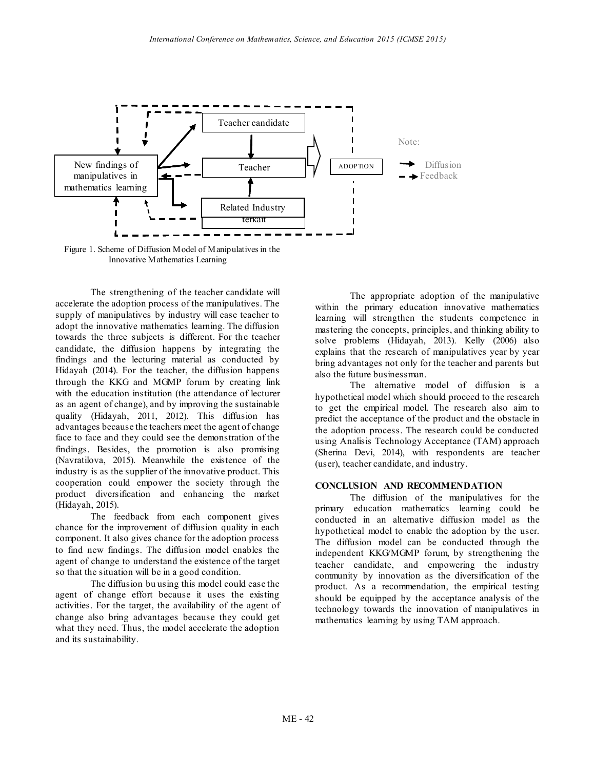

 Figure 1. Scheme of Diffusion Model of Manipulatives in the Innovative Mathematics Learning

The strengthening of the teacher candidate will accelerate the adoption process of the manipulatives. The supply of manipulatives by industry will ease teacher to adopt the innovative mathematics learning. The diffusion towards the three subjects is different. For the teacher candidate, the diffusion happens by integrating the findings and the lecturing material as conducted by Hidayah (2014). For the teacher, the diffusion happens through the KKG and MGMP forum by creating link with the education institution (the attendance of lecturer as an agent of change), and by improving the sustainable quality (Hidayah, 2011, 2012). This diffusion has advantages because the teachers meet the agent of change face to face and they could see the demonstration of the findings. Besides, the promotion is also promising (Navratilova, 2015). Meanwhile the existence of the industry is as the supplier of the innovative product. This cooperation could empower the society through the product diversification and enhancing the market (Hidayah, 2015).

The feedback from each component gives chance for the improvement of diffusion quality in each component. It also gives chance for the adoption process to find new findings. The diffusion model enables the agent of change to understand the existence of the target so that the situation will be in a good condition.

The diffusion bu using this model could ease the agent of change effort because it uses the existing activities. For the target, the availability of the agent of change also bring advantages because they could get what they need. Thus, the model accelerate the adoption and its sustainability.

The appropriate adoption of the manipulative within the primary education innovative mathematics learning will strengthen the students competence in mastering the concepts, principles, and thinking ability to solve problems (Hidayah, 2013). Kelly (2006) also explains that the research of manipulatives year by year bring advantages not only for the teacher and parents but also the future businessman.

The alternative model of diffusion is a hypothetical model which should proceed to the research to get the empirical model. The research also aim to predict the acceptance of the product and the obstacle in the adoption process. The research could be conducted using Analisis Technology Acceptance (TAM) approach (Sherina Devi, 2014), with respondents are teacher (user), teacher candidate, and industry.

#### **CONCLUSION AND RECOMMENDATION**

The diffusion of the manipulatives for the primary education mathematics learning could be conducted in an alternative diffusion model as the hypothetical model to enable the adoption by the user. The diffusion model can be conducted through the independent KKG/MGMP forum, by strengthening the teacher candidate, and empowering the industry community by innovation as the diversification of the product. As a recommendation, the empirical testing should be equipped by the acceptance analysis of the technology towards the innovation of manipulatives in mathematics learning by using TAM approach.